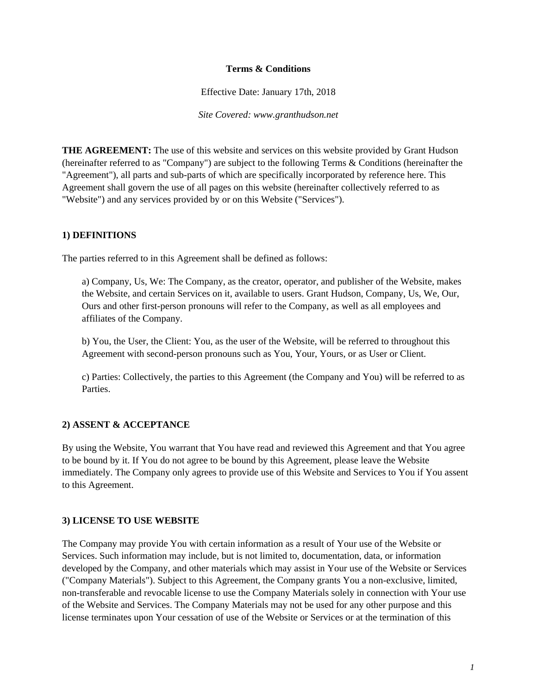#### **Terms & Conditions**

Effective Date: January 17th, 2018

*Site Covered: www.granthudson.net*

**THE AGREEMENT:** The use of this website and services on this website provided by Grant Hudson (hereinafter referred to as "Company") are subject to the following Terms & Conditions (hereinafter the "Agreement"), all parts and sub-parts of which are specifically incorporated by reference here. This Agreement shall govern the use of all pages on this website (hereinafter collectively referred to as "Website") and any services provided by or on this Website ("Services").

#### **1) DEFINITIONS**

The parties referred to in this Agreement shall be defined as follows:

a) Company, Us, We: The Company, as the creator, operator, and publisher of the Website, makes the Website, and certain Services on it, available to users. Grant Hudson, Company, Us, We, Our, Ours and other first-person pronouns will refer to the Company, as well as all employees and affiliates of the Company.

b) You, the User, the Client: You, as the user of the Website, will be referred to throughout this Agreement with second-person pronouns such as You, Your, Yours, or as User or Client.

c) Parties: Collectively, the parties to this Agreement (the Company and You) will be referred to as Parties.

#### **2) ASSENT & ACCEPTANCE**

By using the Website, You warrant that You have read and reviewed this Agreement and that You agree to be bound by it. If You do not agree to be bound by this Agreement, please leave the Website immediately. The Company only agrees to provide use of this Website and Services to You if You assent to this Agreement.

#### **3) LICENSE TO USE WEBSITE**

The Company may provide You with certain information as a result of Your use of the Website or Services. Such information may include, but is not limited to, documentation, data, or information developed by the Company, and other materials which may assist in Your use of the Website or Services ("Company Materials"). Subject to this Agreement, the Company grants You a non-exclusive, limited, non-transferable and revocable license to use the Company Materials solely in connection with Your use of the Website and Services. The Company Materials may not be used for any other purpose and this license terminates upon Your cessation of use of the Website or Services or at the termination of this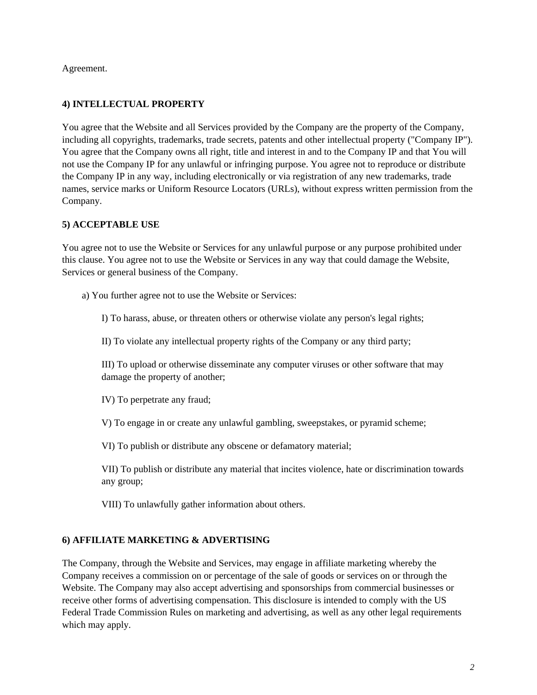Agreement.

# **4) INTELLECTUAL PROPERTY**

You agree that the Website and all Services provided by the Company are the property of the Company, including all copyrights, trademarks, trade secrets, patents and other intellectual property ("Company IP"). You agree that the Company owns all right, title and interest in and to the Company IP and that You will not use the Company IP for any unlawful or infringing purpose. You agree not to reproduce or distribute the Company IP in any way, including electronically or via registration of any new trademarks, trade names, service marks or Uniform Resource Locators (URLs), without express written permission from the Company.

## **5) ACCEPTABLE USE**

You agree not to use the Website or Services for any unlawful purpose or any purpose prohibited under this clause. You agree not to use the Website or Services in any way that could damage the Website, Services or general business of the Company.

a) You further agree not to use the Website or Services:

I) To harass, abuse, or threaten others or otherwise violate any person's legal rights;

II) To violate any intellectual property rights of the Company or any third party;

III) To upload or otherwise disseminate any computer viruses or other software that may damage the property of another;

IV) To perpetrate any fraud;

V) To engage in or create any unlawful gambling, sweepstakes, or pyramid scheme;

VI) To publish or distribute any obscene or defamatory material;

VII) To publish or distribute any material that incites violence, hate or discrimination towards any group;

VIII) To unlawfully gather information about others.

### **6) AFFILIATE MARKETING & ADVERTISING**

The Company, through the Website and Services, may engage in affiliate marketing whereby the Company receives a commission on or percentage of the sale of goods or services on or through the Website. The Company may also accept advertising and sponsorships from commercial businesses or receive other forms of advertising compensation. This disclosure is intended to comply with the US Federal Trade Commission Rules on marketing and advertising, as well as any other legal requirements which may apply.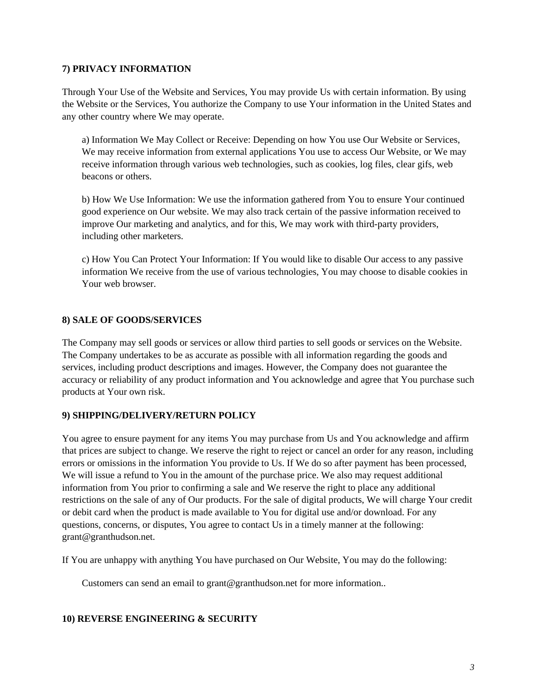#### **7) PRIVACY INFORMATION**

Through Your Use of the Website and Services, You may provide Us with certain information. By using the Website or the Services, You authorize the Company to use Your information in the United States and any other country where We may operate.

a) Information We May Collect or Receive: Depending on how You use Our Website or Services, We may receive information from external applications You use to access Our Website, or We may receive information through various web technologies, such as cookies, log files, clear gifs, web beacons or others.

b) How We Use Information: We use the information gathered from You to ensure Your continued good experience on Our website. We may also track certain of the passive information received to improve Our marketing and analytics, and for this, We may work with third-party providers, including other marketers.

c) How You Can Protect Your Information: If You would like to disable Our access to any passive information We receive from the use of various technologies, You may choose to disable cookies in Your web browser.

### **8) SALE OF GOODS/SERVICES**

The Company may sell goods or services or allow third parties to sell goods or services on the Website. The Company undertakes to be as accurate as possible with all information regarding the goods and services, including product descriptions and images. However, the Company does not guarantee the accuracy or reliability of any product information and You acknowledge and agree that You purchase such products at Your own risk.

### **9) SHIPPING/DELIVERY/RETURN POLICY**

You agree to ensure payment for any items You may purchase from Us and You acknowledge and affirm that prices are subject to change. We reserve the right to reject or cancel an order for any reason, including errors or omissions in the information You provide to Us. If We do so after payment has been processed, We will issue a refund to You in the amount of the purchase price. We also may request additional information from You prior to confirming a sale and We reserve the right to place any additional restrictions on the sale of any of Our products. For the sale of digital products, We will charge Your credit or debit card when the product is made available to You for digital use and/or download. For any questions, concerns, or disputes, You agree to contact Us in a timely manner at the following: grant@granthudson.net.

If You are unhappy with anything You have purchased on Our Website, You may do the following:

Customers can send an email to grant@granthudson.net for more information..

#### **10) REVERSE ENGINEERING & SECURITY**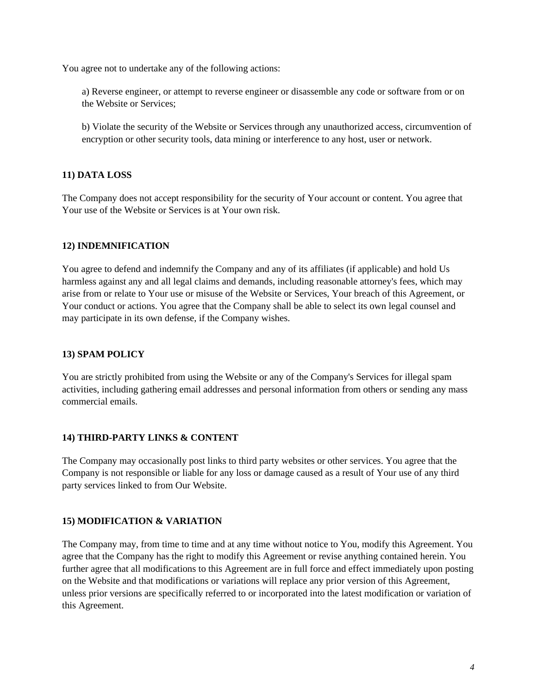You agree not to undertake any of the following actions:

a) Reverse engineer, or attempt to reverse engineer or disassemble any code or software from or on the Website or Services;

b) Violate the security of the Website or Services through any unauthorized access, circumvention of encryption or other security tools, data mining or interference to any host, user or network.

### **11) DATA LOSS**

The Company does not accept responsibility for the security of Your account or content. You agree that Your use of the Website or Services is at Your own risk.

### **12) INDEMNIFICATION**

You agree to defend and indemnify the Company and any of its affiliates (if applicable) and hold Us harmless against any and all legal claims and demands, including reasonable attorney's fees, which may arise from or relate to Your use or misuse of the Website or Services, Your breach of this Agreement, or Your conduct or actions. You agree that the Company shall be able to select its own legal counsel and may participate in its own defense, if the Company wishes.

### **13) SPAM POLICY**

You are strictly prohibited from using the Website or any of the Company's Services for illegal spam activities, including gathering email addresses and personal information from others or sending any mass commercial emails.

#### **14) THIRD-PARTY LINKS & CONTENT**

The Company may occasionally post links to third party websites or other services. You agree that the Company is not responsible or liable for any loss or damage caused as a result of Your use of any third party services linked to from Our Website.

#### **15) MODIFICATION & VARIATION**

The Company may, from time to time and at any time without notice to You, modify this Agreement. You agree that the Company has the right to modify this Agreement or revise anything contained herein. You further agree that all modifications to this Agreement are in full force and effect immediately upon posting on the Website and that modifications or variations will replace any prior version of this Agreement, unless prior versions are specifically referred to or incorporated into the latest modification or variation of this Agreement.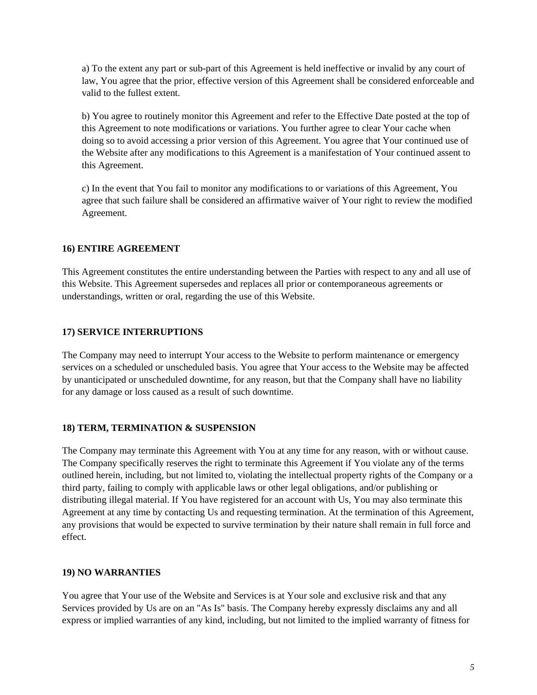a) To the extent any part or sub-part of this Agreement is held ineffective or invalid by any court of law, You agree that the prior, effective version of this Agreement shall be considered enforceable and valid to the fullest extent.

b) You agree to routinely monitor this Agreement and refer to the Effective Date posted at the top of this Agreement to note modifications or variations. You further agree to clear Your cache when doing so to avoid accessing a prior version of this Agreement. You agree that Your continued use of the Website after any modifications to this Agreement is a manifestation of Your continued assent to this Agreement.

c) In the event that You fail to monitor any modifications to or variations of this Agreement, You agree that such failure shall be considered an affirmative waiver of Your right to review the modified Agreement.

### **16) ENTIRE AGREEMENT**

This Agreement constitutes the entire understanding between the Parties with respect to any and all use of this Website. This Agreement supersedes and replaces all prior or contemporaneous agreements or understandings, written or oral, regarding the use of this Website.

## **17) SERVICE INTERRUPTIONS**

The Company may need to interrupt Your access to the Website to perform maintenance or emergency services on a scheduled or unscheduled basis. You agree that Your access to the Website may be affected by unanticipated or unscheduled downtime, for any reason, but that the Company shall have no liability for any damage or loss caused as a result of such downtime.

### **18) TERM, TERMINATION & SUSPENSION**

The Company may terminate this Agreement with You at any time for any reason, with or without cause. The Company specifically reserves the right to terminate this Agreement if You violate any of the terms outlined herein, including, but not limited to, violating the intellectual property rights of the Company or a third party, failing to comply with applicable laws or other legal obligations, and/or publishing or distributing illegal material. If You have registered for an account with Us, You may also terminate this Agreement at any time by contacting Us and requesting termination. At the termination of this Agreement, any provisions that would be expected to survive termination by their nature shall remain in full force and effect.

### **19) NO WARRANTIES**

You agree that Your use of the Website and Services is at Your sole and exclusive risk and that any Services provided by Us are on an "As Is" basis. The Company hereby expressly disclaims any and all express or implied warranties of any kind, including, but not limited to the implied warranty of fitness for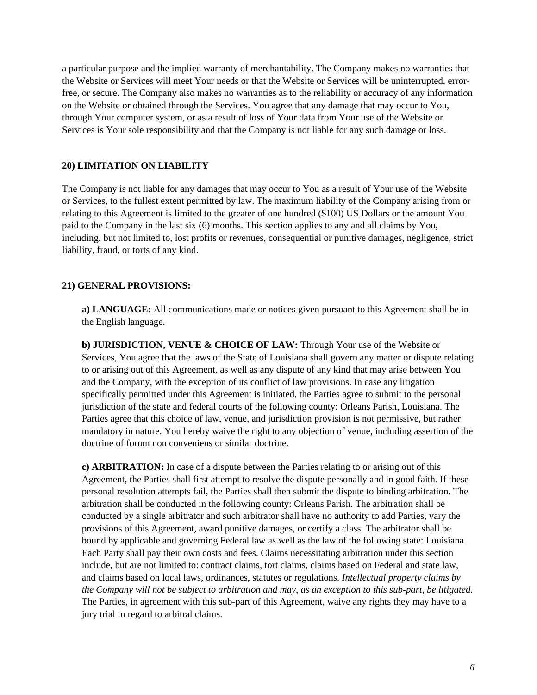a particular purpose and the implied warranty of merchantability. The Company makes no warranties that the Website or Services will meet Your needs or that the Website or Services will be uninterrupted, errorfree, or secure. The Company also makes no warranties as to the reliability or accuracy of any information on the Website or obtained through the Services. You agree that any damage that may occur to You, through Your computer system, or as a result of loss of Your data from Your use of the Website or Services is Your sole responsibility and that the Company is not liable for any such damage or loss.

#### **20) LIMITATION ON LIABILITY**

The Company is not liable for any damages that may occur to You as a result of Your use of the Website or Services, to the fullest extent permitted by law. The maximum liability of the Company arising from or relating to this Agreement is limited to the greater of one hundred (\$100) US Dollars or the amount You paid to the Company in the last six (6) months. This section applies to any and all claims by You, including, but not limited to, lost profits or revenues, consequential or punitive damages, negligence, strict liability, fraud, or torts of any kind.

#### **21) GENERAL PROVISIONS:**

**a) LANGUAGE:** All communications made or notices given pursuant to this Agreement shall be in the English language.

**b) JURISDICTION, VENUE & CHOICE OF LAW:** Through Your use of the Website or Services, You agree that the laws of the State of Louisiana shall govern any matter or dispute relating to or arising out of this Agreement, as well as any dispute of any kind that may arise between You and the Company, with the exception of its conflict of law provisions. In case any litigation specifically permitted under this Agreement is initiated, the Parties agree to submit to the personal jurisdiction of the state and federal courts of the following county: Orleans Parish, Louisiana. The Parties agree that this choice of law, venue, and jurisdiction provision is not permissive, but rather mandatory in nature. You hereby waive the right to any objection of venue, including assertion of the doctrine of forum non conveniens or similar doctrine.

**c) ARBITRATION:** In case of a dispute between the Parties relating to or arising out of this Agreement, the Parties shall first attempt to resolve the dispute personally and in good faith. If these personal resolution attempts fail, the Parties shall then submit the dispute to binding arbitration. The arbitration shall be conducted in the following county: Orleans Parish. The arbitration shall be conducted by a single arbitrator and such arbitrator shall have no authority to add Parties, vary the provisions of this Agreement, award punitive damages, or certify a class. The arbitrator shall be bound by applicable and governing Federal law as well as the law of the following state: Louisiana. Each Party shall pay their own costs and fees. Claims necessitating arbitration under this section include, but are not limited to: contract claims, tort claims, claims based on Federal and state law, and claims based on local laws, ordinances, statutes or regulations. *Intellectual property claims by the Company will not be subject to arbitration and may, as an exception to this sub-part, be litigated.* The Parties, in agreement with this sub-part of this Agreement, waive any rights they may have to a jury trial in regard to arbitral claims.